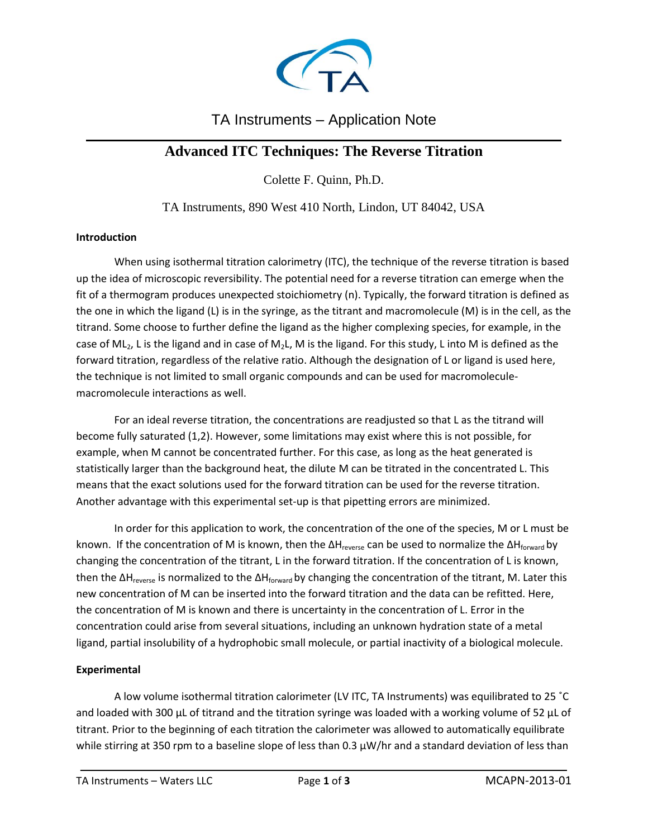

# TA Instruments – Application Note

## $\mathcal{L}_\text{max}$  and  $\mathcal{L}_\text{max}$  and  $\mathcal{L}_\text{max}$  and  $\mathcal{L}_\text{max}$  and  $\mathcal{L}_\text{max}$  and  $\mathcal{L}_\text{max}$ **Advanced ITC Techniques: The Reverse Titration**

Colette F. Quinn, Ph.D.

TA Instruments, 890 West 410 North, Lindon, UT 84042, USA

### **Introduction**

When using isothermal titration calorimetry (ITC), the technique of the reverse titration is based up the idea of microscopic reversibility. The potential need for a reverse titration can emerge when the fit of a thermogram produces unexpected stoichiometry (n). Typically, the forward titration is defined as the one in which the ligand (L) is in the syringe, as the titrant and macromolecule (M) is in the cell, as the titrand. Some choose to further define the ligand as the higher complexing species, for example, in the case of ML<sub>2</sub>, L is the ligand and in case of M<sub>2</sub>L, M is the ligand. For this study, L into M is defined as the forward titration, regardless of the relative ratio. Although the designation of L or ligand is used here, the technique is not limited to small organic compounds and can be used for macromoleculemacromolecule interactions as well.

For an ideal reverse titration, the concentrations are readjusted so that L as the titrand will become fully saturated (1,2). However, some limitations may exist where this is not possible, for example, when M cannot be concentrated further. For this case, as long as the heat generated is statistically larger than the background heat, the dilute M can be titrated in the concentrated L. This means that the exact solutions used for the forward titration can be used for the reverse titration. Another advantage with this experimental set-up is that pipetting errors are minimized.

In order for this application to work, the concentration of the one of the species, M or L must be known. If the concentration of M is known, then the ΔH<sub>reverse</sub> can be used to normalize the ΔH<sub>forward</sub> by changing the concentration of the titrant, L in the forward titration. If the concentration of L is known, then the  $\Delta H_{reverse}$  is normalized to the  $\Delta H_{forward}$  by changing the concentration of the titrant, M. Later this new concentration of M can be inserted into the forward titration and the data can be refitted. Here, the concentration of M is known and there is uncertainty in the concentration of L. Error in the concentration could arise from several situations, including an unknown hydration state of a metal ligand, partial insolubility of a hydrophobic small molecule, or partial inactivity of a biological molecule.

#### **Experimental**

A low volume isothermal titration calorimeter (LV ITC, TA Instruments) was equilibrated to 25 ˚C and loaded with 300  $\mu$ L of titrand and the titration syringe was loaded with a working volume of 52  $\mu$ L of titrant. Prior to the beginning of each titration the calorimeter was allowed to automatically equilibrate while stirring at 350 rpm to a baseline slope of less than  $0.3 \mu W/hr$  and a standard deviation of less than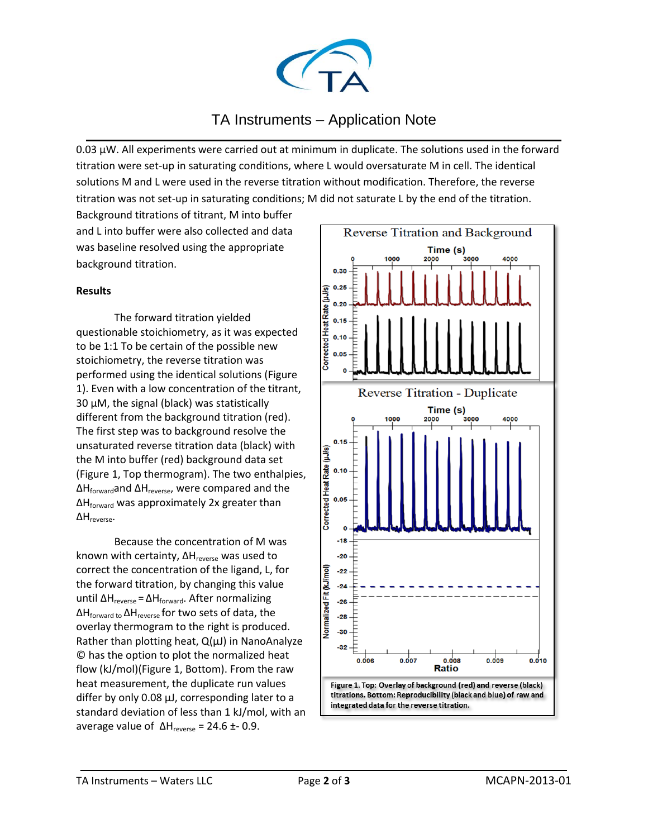

## TA Instruments – Application Note  $\mathcal{L}_\text{max}$  and  $\mathcal{L}_\text{max}$  and  $\mathcal{L}_\text{max}$  and  $\mathcal{L}_\text{max}$  and  $\mathcal{L}_\text{max}$  and  $\mathcal{L}_\text{max}$

0.03  $\mu$ W. All experiments were carried out at minimum in duplicate. The solutions used in the forward titration were set-up in saturating conditions, where L would oversaturate M in cell. The identical solutions M and L were used in the reverse titration without modification. Therefore, the reverse titration was not set-up in saturating conditions; M did not saturate L by the end of the titration.

Background titrations of titrant, M into buffer and L into buffer were also collected and data was baseline resolved using the appropriate background titration.

### **Results**

The forward titration yielded questionable stoichiometry, as it was expected to be 1:1 To be certain of the possible new stoichiometry, the reverse titration was performed using the identical solutions (Figure 1). Even with a low concentration of the titrant, 30 µM, the signal (black) was statistically different from the background titration (red). The first step was to background resolve the unsaturated reverse titration data (black) with the M into buffer (red) background data set (Figure 1, Top thermogram). The two enthalpies, ΔHforwardand ΔHreverse, were compared and the ΔHforward was approximately 2x greater than ΔHreverse.

Because the concentration of M was known with certainty,  $\Delta H_{\text{reverse}}$  was used to correct the concentration of the ligand, L, for the forward titration, by changing this value until ΔH<sub>reverse</sub> = ΔH<sub>forward</sub>. After normalizing ΔHforward to ΔHreverse for two sets of data, the overlay thermogram to the right is produced. Rather than plotting heat,  $Q(\mu J)$  in NanoAnalyze © has the option to plot the normalized heat flow (kJ/mol)(Figure 1, Bottom). From the raw heat measurement, the duplicate run values differ by only 0.08  $\mu$ J, corresponding later to a standard deviation of less than 1 kJ/mol, with an average value of  $ΔH<sub>reverse</sub> = 24.6 ± 0.9$ .